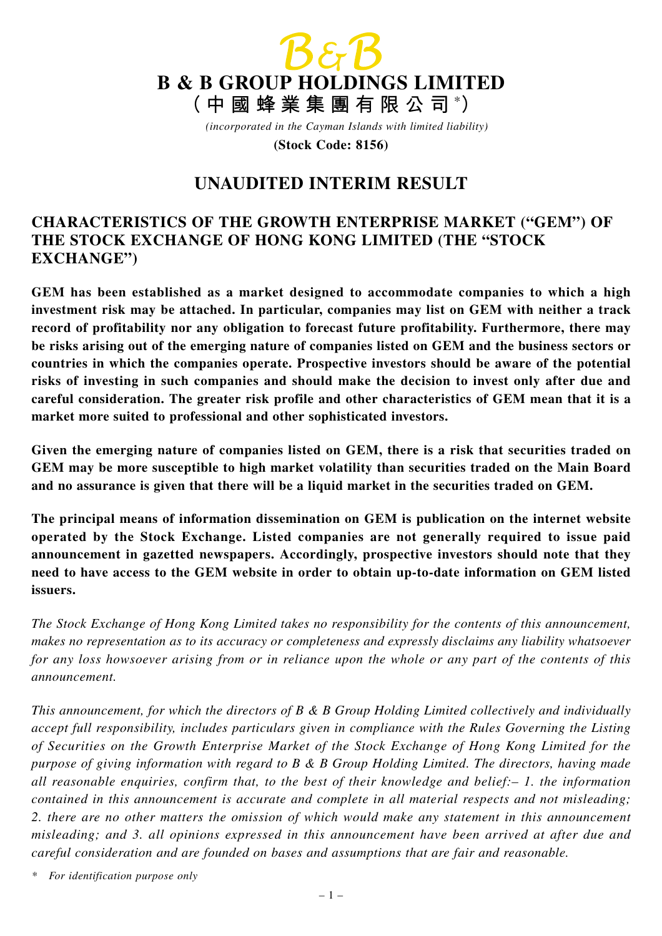

*(incorporated in the Cayman Islands with limited liability)*

**(Stock Code: 8156)**

# **UNAUDITED INTERIM RESULT**

## **CHARACTERISTICS OF THE GROWTH ENTERPRISE MARKET ("GEM") OF THE STOCK EXCHANGE OF HONG KONG LIMITED (THE "STOCK EXCHANGE")**

**GEM has been established as a market designed to accommodate companies to which a high investment risk may be attached. In particular, companies may list on GEM with neither a track record of profitability nor any obligation to forecast future profitability. Furthermore, there may be risks arising out of the emerging nature of companies listed on GEM and the business sectors or countries in which the companies operate. Prospective investors should be aware of the potential risks of investing in such companies and should make the decision to invest only after due and careful consideration. The greater risk profile and other characteristics of GEM mean that it is a market more suited to professional and other sophisticated investors.**

**Given the emerging nature of companies listed on GEM, there is a risk that securities traded on GEM may be more susceptible to high market volatility than securities traded on the Main Board and no assurance is given that there will be a liquid market in the securities traded on GEM.**

**The principal means of information dissemination on GEM is publication on the internet website operated by the Stock Exchange. Listed companies are not generally required to issue paid announcement in gazetted newspapers. Accordingly, prospective investors should note that they need to have access to the GEM website in order to obtain up-to-date information on GEM listed issuers.**

*The Stock Exchange of Hong Kong Limited takes no responsibility for the contents of this announcement, makes no representation as to its accuracy or completeness and expressly disclaims any liability whatsoever for any loss howsoever arising from or in reliance upon the whole or any part of the contents of this announcement.*

*This announcement, for which the directors of B & B Group Holding Limited collectively and individually accept full responsibility, includes particulars given in compliance with the Rules Governing the Listing of Securities on the Growth Enterprise Market of the Stock Exchange of Hong Kong Limited for the purpose of giving information with regard to B & B Group Holding Limited. The directors, having made all reasonable enquiries, confirm that, to the best of their knowledge and belief:– 1. the information contained in this announcement is accurate and complete in all material respects and not misleading; 2. there are no other matters the omission of which would make any statement in this announcement misleading; and 3. all opinions expressed in this announcement have been arrived at after due and careful consideration and are founded on bases and assumptions that are fair and reasonable.*

*\* For identification purpose only*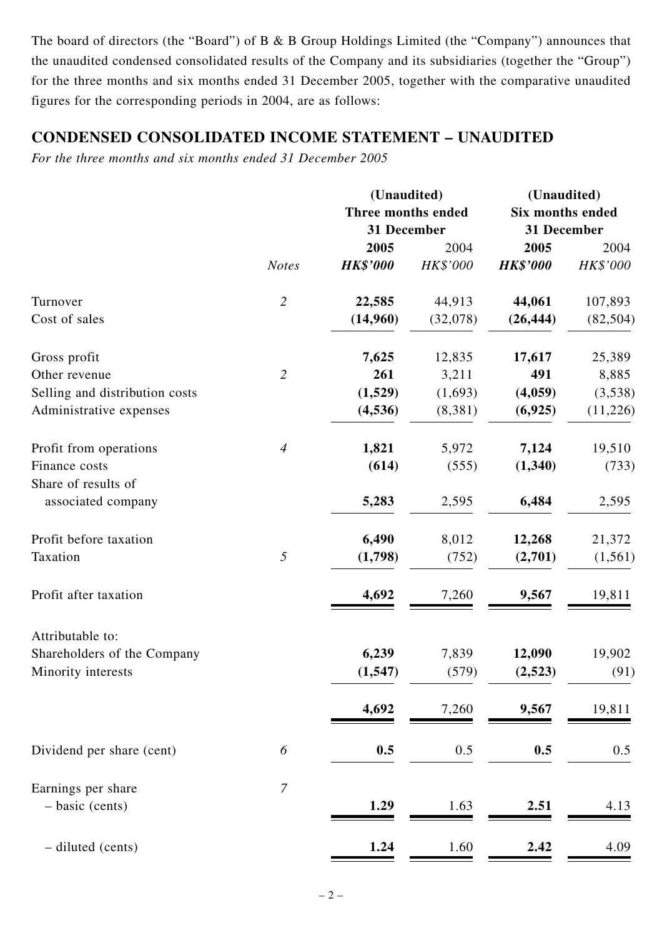The board of directors (the "Board") of B & B Group Holdings Limited (the "Company") announces that the unaudited condensed consolidated results of the Company and its subsidiaries (together the "Group") for the three months and six months ended 31 December 2005, together with the comparative unaudited figures for the corresponding periods in 2004, are as follows:

## **CONDENSED CONSOLIDATED INCOME STATEMENT – UNAUDITED**

*For the three months and six months ended 31 December 2005*

|                                |                | (Unaudited)<br>Three months ended<br>31 December |          | (Unaudited)<br><b>Six months ended</b><br>31 December |           |
|--------------------------------|----------------|--------------------------------------------------|----------|-------------------------------------------------------|-----------|
|                                |                |                                                  |          |                                                       |           |
|                                |                | 2005                                             | 2004     | 2005                                                  | 2004      |
|                                | <b>Notes</b>   | <b>HK\$'000</b>                                  | HK\$'000 | <b>HK\$'000</b>                                       | HK\$'000  |
| Turnover                       | $\overline{2}$ | 22,585                                           | 44,913   | 44,061                                                | 107,893   |
| Cost of sales                  |                | (14,960)                                         | (32,078) | (26, 444)                                             | (82, 504) |
| Gross profit                   |                | 7,625                                            | 12,835   | 17,617                                                | 25,389    |
| Other revenue                  | $\overline{2}$ | 261                                              | 3,211    | 491                                                   | 8,885     |
| Selling and distribution costs |                | (1,529)                                          | (1,693)  | (4,059)                                               | (3,538)   |
| Administrative expenses        |                | (4,536)                                          | (8,381)  | (6,925)                                               | (11,226)  |
| Profit from operations         | $\overline{4}$ | 1,821                                            | 5,972    | 7,124                                                 | 19,510    |
| Finance costs                  |                | (614)                                            | (555)    | (1,340)                                               | (733)     |
| Share of results of            |                |                                                  |          |                                                       |           |
| associated company             |                | 5,283                                            | 2,595    | 6,484                                                 | 2,595     |
| Profit before taxation         |                | 6,490                                            | 8,012    | 12,268                                                | 21,372    |
| Taxation                       | 5              | (1,798)                                          | (752)    | (2,701)                                               | (1, 561)  |
| Profit after taxation          |                | 4,692                                            | 7,260    | 9,567                                                 | 19,811    |
| Attributable to:               |                |                                                  |          |                                                       |           |
| Shareholders of the Company    |                | 6,239                                            | 7,839    | 12,090                                                | 19,902    |
| Minority interests             |                | (1, 547)                                         | (579)    | (2,523)                                               | (91)      |
|                                |                | 4,692                                            | 7,260    | 9,567                                                 | 19,811    |
| Dividend per share (cent)      | 6              | 0.5                                              | 0.5      | 0.5                                                   | 0.5       |
| Earnings per share             | $\overline{7}$ |                                                  |          |                                                       |           |
| - basic (cents)                |                | 1.29                                             | 1.63     | 2.51                                                  | 4.13      |
| - diluted (cents)              |                | 1.24                                             | 1.60     | 2.42                                                  | 4.09      |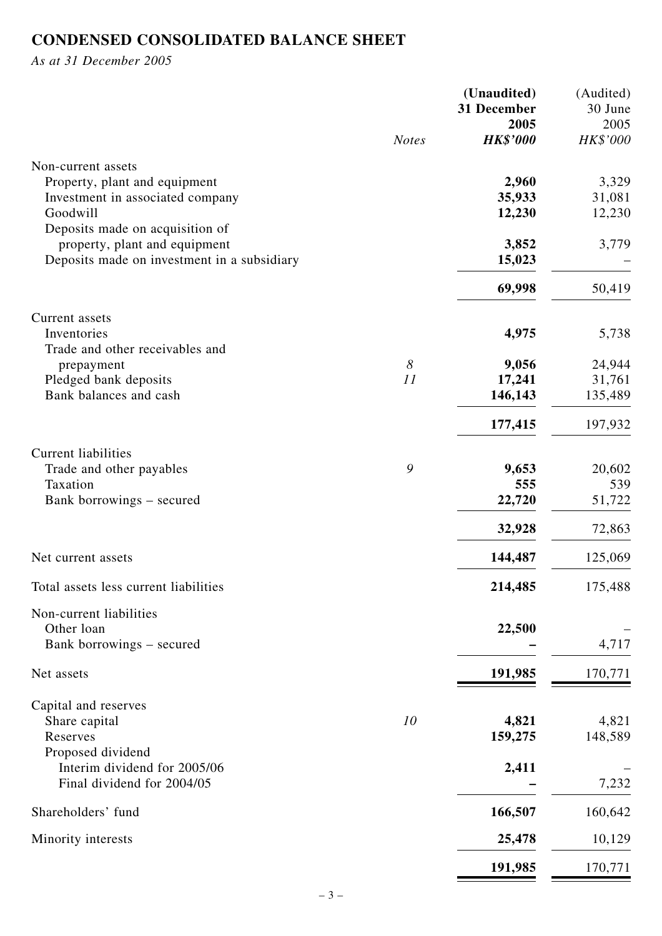# **CONDENSED CONSOLIDATED BALANCE SHEET**

*As at 31 December 2005*

|                                                                  |              | (Unaudited)<br>31 December<br>2005 | (Audited)<br>30 June<br>2005 |
|------------------------------------------------------------------|--------------|------------------------------------|------------------------------|
|                                                                  | <b>Notes</b> | <b>HK\$'000</b>                    | HK\$'000                     |
| Non-current assets                                               |              |                                    |                              |
| Property, plant and equipment                                    |              | 2,960                              | 3,329                        |
| Investment in associated company                                 |              | 35,933                             | 31,081                       |
| Goodwill                                                         |              | 12,230                             | 12,230                       |
| Deposits made on acquisition of<br>property, plant and equipment |              | 3,852                              | 3,779                        |
| Deposits made on investment in a subsidiary                      |              | 15,023                             |                              |
|                                                                  |              |                                    |                              |
|                                                                  |              | 69,998                             | 50,419                       |
| Current assets                                                   |              |                                    |                              |
| Inventories                                                      |              | 4,975                              | 5,738                        |
| Trade and other receivables and                                  |              |                                    |                              |
| prepayment<br>Pledged bank deposits                              | 8<br>11      | 9,056<br>17,241                    | 24,944<br>31,761             |
| Bank balances and cash                                           |              | 146,143                            | 135,489                      |
|                                                                  |              |                                    |                              |
|                                                                  |              | 177,415                            | 197,932                      |
| <b>Current liabilities</b>                                       |              |                                    |                              |
| Trade and other payables                                         | 9            | 9,653                              | 20,602                       |
| Taxation                                                         |              | 555                                | 539                          |
| Bank borrowings – secured                                        |              | 22,720                             | 51,722                       |
|                                                                  |              | 32,928                             | 72,863                       |
| Net current assets                                               |              | 144,487                            | 125,069                      |
| Total assets less current liabilities                            |              | 214,485                            | 175,488                      |
| Non-current liabilities                                          |              |                                    |                              |
| Other loan                                                       |              | 22,500                             |                              |
| Bank borrowings – secured                                        |              |                                    | 4,717                        |
| Net assets                                                       |              | 191,985                            | 170,771                      |
| Capital and reserves                                             |              |                                    |                              |
| Share capital                                                    | 10           | 4,821                              | 4,821                        |
| Reserves                                                         |              | 159,275                            | 148,589                      |
| Proposed dividend                                                |              |                                    |                              |
| Interim dividend for 2005/06                                     |              | 2,411                              |                              |
| Final dividend for 2004/05                                       |              |                                    | 7,232                        |
| Shareholders' fund                                               |              | 166,507                            | 160,642                      |
| Minority interests                                               |              | 25,478                             | 10,129                       |
|                                                                  |              | 191,985                            | 170,771                      |
|                                                                  |              |                                    |                              |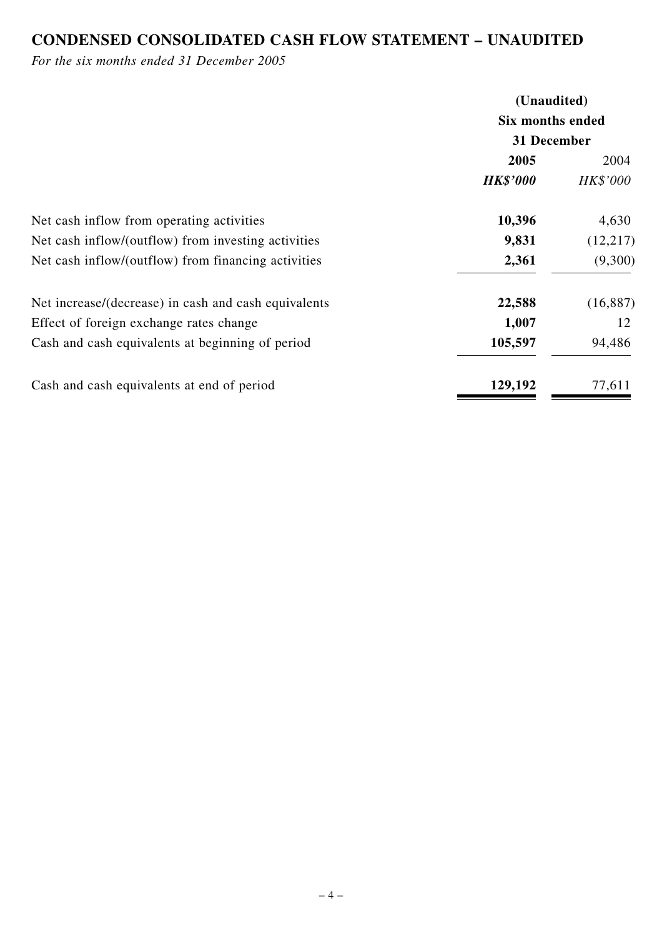# **CONDENSED CONSOLIDATED CASH FLOW STATEMENT – UNAUDITED**

*For the six months ended 31 December 2005*

|                                                      | (Unaudited)<br>Six months ended<br>31 December |           |  |
|------------------------------------------------------|------------------------------------------------|-----------|--|
|                                                      |                                                |           |  |
|                                                      |                                                |           |  |
|                                                      | 2005                                           | 2004      |  |
|                                                      | <b>HK\$'000</b>                                | HK\$'000  |  |
| Net cash inflow from operating activities            | 10,396                                         | 4,630     |  |
| Net cash inflow/(outflow) from investing activities  | 9,831                                          | (12,217)  |  |
| Net cash inflow/(outflow) from financing activities  | 2,361                                          | (9,300)   |  |
| Net increase/(decrease) in cash and cash equivalents | 22,588                                         | (16, 887) |  |
| Effect of foreign exchange rates change              | 1,007                                          | 12        |  |
| Cash and cash equivalents at beginning of period     | 105,597                                        | 94,486    |  |
| Cash and cash equivalents at end of period           | 129,192                                        | 77,611    |  |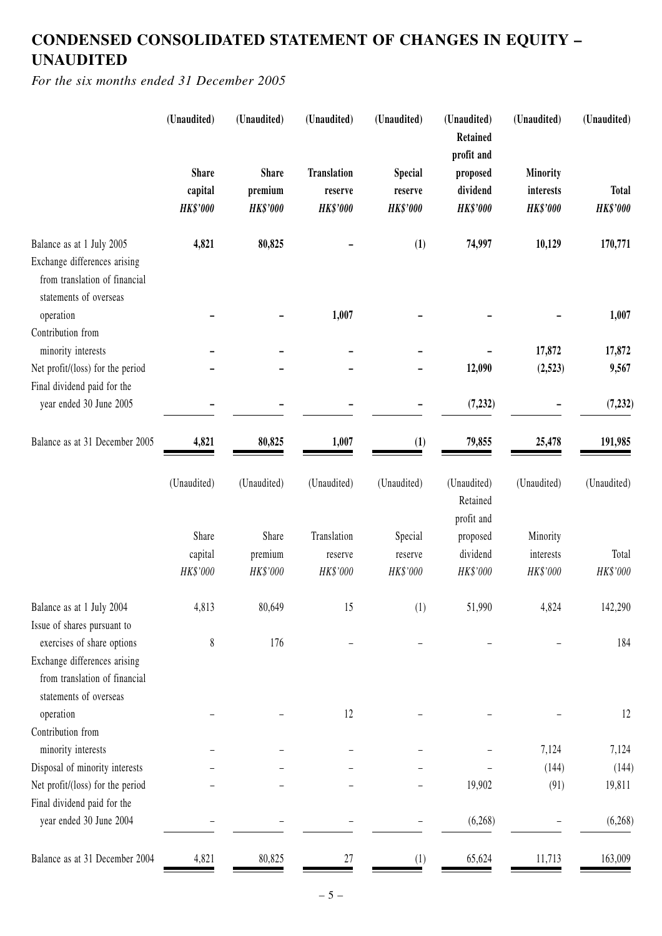# **CONDENSED CONSOLIDATED STATEMENT OF CHANGES IN EQUITY – UNAUDITED**

*For the six months ended 31 December 2005*

|                                                                                                                       | (Unaudited)     | (Unaudited)     | (Unaudited)        | (Unaudited)     | (Unaudited)<br>Retained<br>profit and | (Unaudited)     | (Unaudited)     |
|-----------------------------------------------------------------------------------------------------------------------|-----------------|-----------------|--------------------|-----------------|---------------------------------------|-----------------|-----------------|
|                                                                                                                       | <b>Share</b>    | <b>Share</b>    | <b>Translation</b> | <b>Special</b>  | proposed                              | Minority        |                 |
|                                                                                                                       | capital         | premium         | reserve            | reserve         | dividend                              | interests       | <b>Total</b>    |
|                                                                                                                       | <b>HK\$'000</b> | <b>HK\$'000</b> | <b>HK\$'000</b>    | <b>HK\$'000</b> | <b>HK\$'000</b>                       | <b>HK\$'000</b> | <b>HK\$'000</b> |
| Balance as at 1 July 2005<br>Exchange differences arising<br>from translation of financial<br>statements of overseas  | 4,821           | 80,825          |                    | (1)             | 74,997                                | 10,129          | 170,771         |
| operation<br>Contribution from                                                                                        |                 |                 | 1,007              |                 |                                       |                 | 1,007           |
| minority interests                                                                                                    |                 |                 |                    |                 |                                       | 17,872          | 17,872          |
| Net profit/(loss) for the period<br>Final dividend paid for the                                                       |                 |                 |                    |                 | 12,090                                | (2,523)         | 9,567           |
| year ended 30 June 2005                                                                                               |                 |                 |                    |                 | (7, 232)                              |                 | (7, 232)        |
| Balance as at 31 December 2005                                                                                        | 4,821           | 80,825          | 1,007              | (1)             | 79,855                                | 25,478          | 191,985         |
|                                                                                                                       | (Unaudited)     | (Unaudited)     | (Unaudited)        | (Unaudited)     | (Unaudited)<br>Retained<br>profit and | (Unaudited)     | (Unaudited)     |
|                                                                                                                       | Share           | Share           | Translation        | Special         | proposed                              | Minority        |                 |
|                                                                                                                       | capital         | premium         | reserve            | reserve         | dividend                              | interests       | Total           |
|                                                                                                                       | HK\$'000        | HK\$'000        | HK\$'000           | HK\$'000        | HK\$'000                              | HK\$'000        | HK\$'000        |
| Balance as at 1 July 2004<br>Issue of shares pursuant to                                                              | 4,813           | 80,649          | 15                 | (1)             | 51,990                                | 4,824           | 142,290         |
| exercises of share options<br>Exchange differences arising<br>from translation of financial<br>statements of overseas | $\,$            | 176             |                    |                 |                                       |                 | 184             |
| operation<br>Contribution from                                                                                        |                 |                 | 12                 |                 |                                       |                 | 12              |
| minority interests                                                                                                    |                 |                 |                    |                 |                                       | 7,124           | 7,124           |
| Disposal of minority interests                                                                                        |                 |                 |                    |                 |                                       | (144)           | (144)           |
| Net profit/(loss) for the period                                                                                      |                 |                 |                    |                 | 19,902                                | (91)            | 19,811          |
| Final dividend paid for the                                                                                           |                 |                 |                    |                 |                                       |                 |                 |
| year ended 30 June 2004                                                                                               |                 |                 |                    |                 | (6,268)                               |                 | (6, 268)        |
| Balance as at 31 December 2004                                                                                        | 4,821           | 80,825          | 27                 | (1)             | 65,624                                | 11,713          | 163,009         |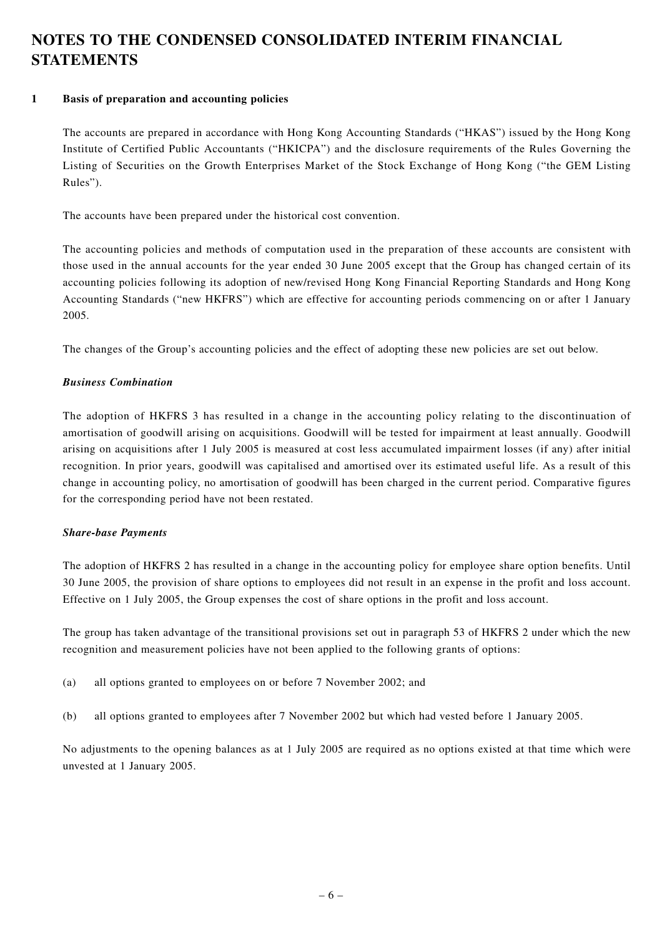# **NOTES TO THE CONDENSED CONSOLIDATED INTERIM FINANCIAL STATEMENTS**

#### **1 Basis of preparation and accounting policies**

The accounts are prepared in accordance with Hong Kong Accounting Standards ("HKAS") issued by the Hong Kong Institute of Certified Public Accountants ("HKICPA") and the disclosure requirements of the Rules Governing the Listing of Securities on the Growth Enterprises Market of the Stock Exchange of Hong Kong ("the GEM Listing Rules").

The accounts have been prepared under the historical cost convention.

The accounting policies and methods of computation used in the preparation of these accounts are consistent with those used in the annual accounts for the year ended 30 June 2005 except that the Group has changed certain of its accounting policies following its adoption of new/revised Hong Kong Financial Reporting Standards and Hong Kong Accounting Standards ("new HKFRS") which are effective for accounting periods commencing on or after 1 January 2005.

The changes of the Group's accounting policies and the effect of adopting these new policies are set out below.

### *Business Combination*

The adoption of HKFRS 3 has resulted in a change in the accounting policy relating to the discontinuation of amortisation of goodwill arising on acquisitions. Goodwill will be tested for impairment at least annually. Goodwill arising on acquisitions after 1 July 2005 is measured at cost less accumulated impairment losses (if any) after initial recognition. In prior years, goodwill was capitalised and amortised over its estimated useful life. As a result of this change in accounting policy, no amortisation of goodwill has been charged in the current period. Comparative figures for the corresponding period have not been restated.

#### *Share-base Payments*

The adoption of HKFRS 2 has resulted in a change in the accounting policy for employee share option benefits. Until 30 June 2005, the provision of share options to employees did not result in an expense in the profit and loss account. Effective on 1 July 2005, the Group expenses the cost of share options in the profit and loss account.

The group has taken advantage of the transitional provisions set out in paragraph 53 of HKFRS 2 under which the new recognition and measurement policies have not been applied to the following grants of options:

- (a) all options granted to employees on or before 7 November 2002; and
- (b) all options granted to employees after 7 November 2002 but which had vested before 1 January 2005.

No adjustments to the opening balances as at 1 July 2005 are required as no options existed at that time which were unvested at 1 January 2005.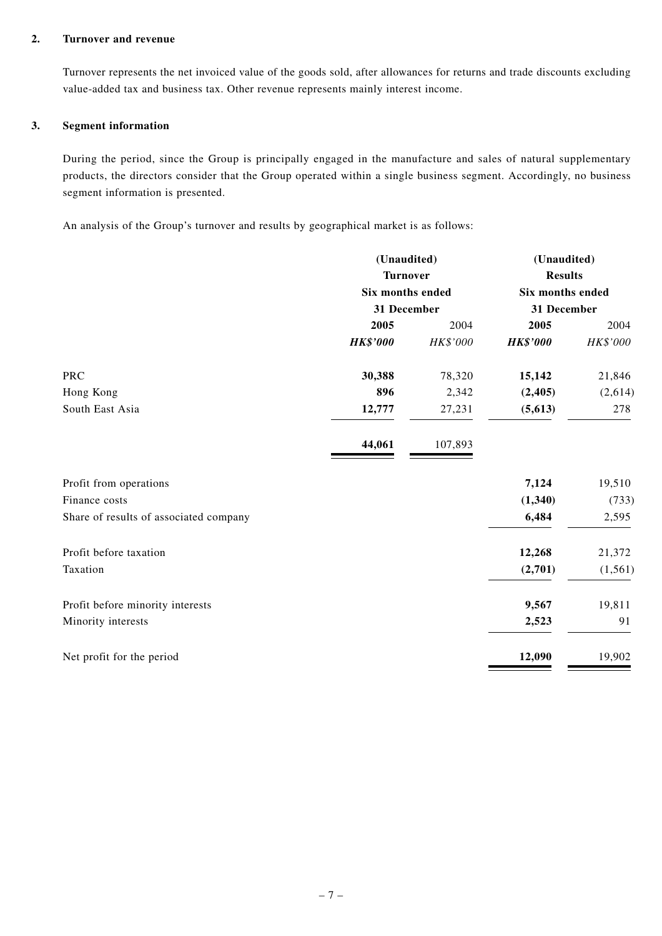### **2. Turnover and revenue**

Turnover represents the net invoiced value of the goods sold, after allowances for returns and trade discounts excluding value-added tax and business tax. Other revenue represents mainly interest income.

#### **3. Segment information**

During the period, since the Group is principally engaged in the manufacture and sales of natural supplementary products, the directors consider that the Group operated within a single business segment. Accordingly, no business segment information is presented.

An analysis of the Group's turnover and results by geographical market is as follows:

|                                        | (Unaudited)      |          | (Unaudited)                     |          |
|----------------------------------------|------------------|----------|---------------------------------|----------|
|                                        | <b>Turnover</b>  |          | <b>Results</b>                  |          |
|                                        | Six months ended |          | Six months ended<br>31 December |          |
|                                        | 31 December      |          |                                 |          |
|                                        | 2005             | 2004     | 2005                            | 2004     |
|                                        | <b>HK\$'000</b>  | HK\$'000 | <b>HK\$'000</b>                 | HK\$'000 |
| <b>PRC</b>                             | 30,388           | 78,320   | 15,142                          | 21,846   |
| Hong Kong                              | 896              | 2,342    | (2, 405)                        | (2,614)  |
| South East Asia                        | 12,777           | 27,231   | (5,613)                         | 278      |
|                                        | 44,061           | 107,893  |                                 |          |
| Profit from operations                 |                  |          | 7,124                           | 19,510   |
| Finance costs                          |                  |          | (1,340)                         | (733)    |
| Share of results of associated company |                  |          | 6,484                           | 2,595    |
| Profit before taxation                 |                  |          | 12,268                          | 21,372   |
| Taxation                               |                  |          | (2,701)                         | (1, 561) |
| Profit before minority interests       |                  |          | 9,567                           | 19,811   |
| Minority interests                     |                  |          | 2,523                           | 91       |
| Net profit for the period              |                  |          | 12,090                          | 19,902   |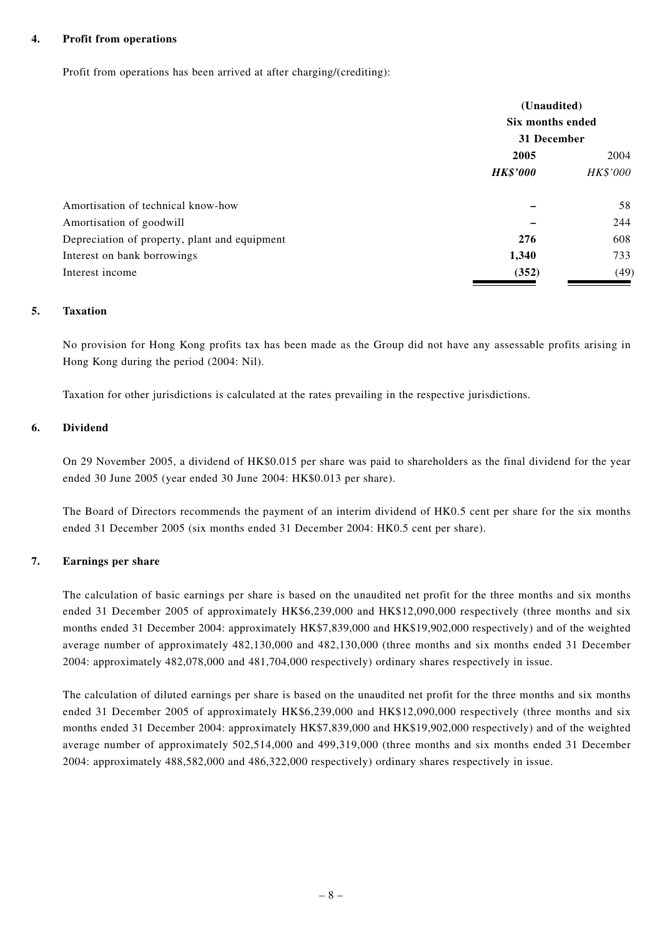#### **4. Profit from operations**

Profit from operations has been arrived at after charging/(crediting):

|                                               | (Unaudited)<br>Six months ended |          |  |
|-----------------------------------------------|---------------------------------|----------|--|
|                                               |                                 |          |  |
|                                               | 31 December                     |          |  |
|                                               | 2005                            | 2004     |  |
|                                               | <b>HK\$'000</b>                 | HK\$'000 |  |
| Amortisation of technical know-how            |                                 | 58       |  |
| Amortisation of goodwill                      |                                 | 244      |  |
| Depreciation of property, plant and equipment | 276                             | 608      |  |
| Interest on bank borrowings                   | 1,340                           | 733      |  |
| Interest income                               | (352)                           | (49)     |  |

#### **5. Taxation**

No provision for Hong Kong profits tax has been made as the Group did not have any assessable profits arising in Hong Kong during the period (2004: Nil).

Taxation for other jurisdictions is calculated at the rates prevailing in the respective jurisdictions.

#### **6. Dividend**

On 29 November 2005, a dividend of HK\$0.015 per share was paid to shareholders as the final dividend for the year ended 30 June 2005 (year ended 30 June 2004: HK\$0.013 per share).

The Board of Directors recommends the payment of an interim dividend of HK0.5 cent per share for the six months ended 31 December 2005 (six months ended 31 December 2004: HK0.5 cent per share).

### **7. Earnings per share**

The calculation of basic earnings per share is based on the unaudited net profit for the three months and six months ended 31 December 2005 of approximately HK\$6,239,000 and HK\$12,090,000 respectively (three months and six months ended 31 December 2004: approximately HK\$7,839,000 and HK\$19,902,000 respectively) and of the weighted average number of approximately 482,130,000 and 482,130,000 (three months and six months ended 31 December 2004: approximately 482,078,000 and 481,704,000 respectively) ordinary shares respectively in issue.

The calculation of diluted earnings per share is based on the unaudited net profit for the three months and six months ended 31 December 2005 of approximately HK\$6,239,000 and HK\$12,090,000 respectively (three months and six months ended 31 December 2004: approximately HK\$7,839,000 and HK\$19,902,000 respectively) and of the weighted average number of approximately 502,514,000 and 499,319,000 (three months and six months ended 31 December 2004: approximately 488,582,000 and 486,322,000 respectively) ordinary shares respectively in issue.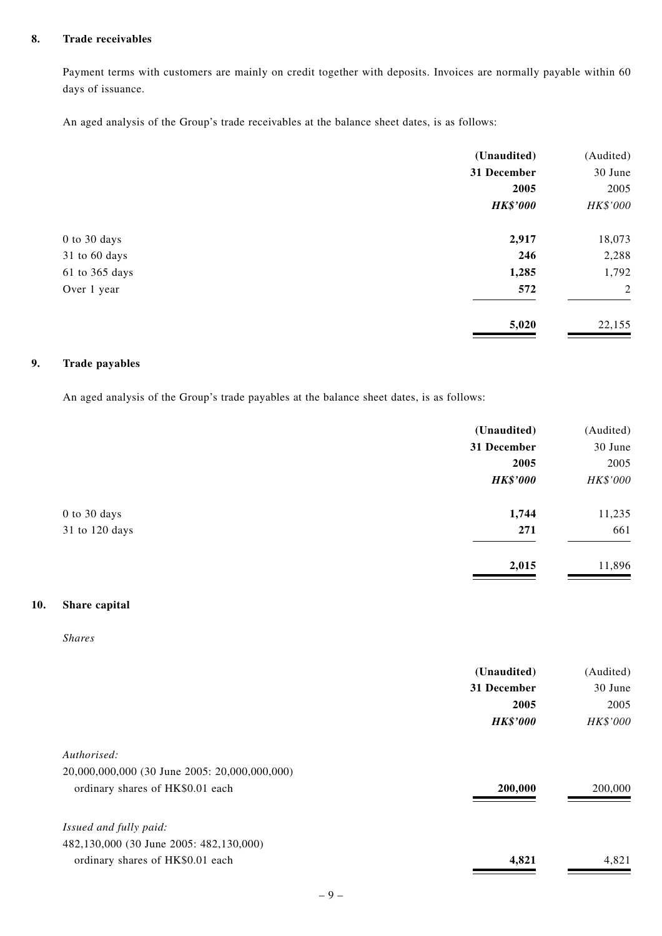### **8. Trade receivables**

Payment terms with customers are mainly on credit together with deposits. Invoices are normally payable within 60 days of issuance.

An aged analysis of the Group's trade receivables at the balance sheet dates, is as follows:

|                | (Unaudited)     | (Audited) |
|----------------|-----------------|-----------|
|                | 31 December     | 30 June   |
|                | 2005            | 2005      |
|                | <b>HK\$'000</b> | HK\$'000  |
| 0 to 30 days   | 2,917           | 18,073    |
| 31 to 60 days  | 246             | 2,288     |
| 61 to 365 days | 1,285           | 1,792     |
| Over 1 year    | 572             | 2         |
|                | 5,020           | 22,155    |

### **9. Trade payables**

An aged analysis of the Group's trade payables at the balance sheet dates, is as follows:

|                | (Unaudited)     | (Audited) |
|----------------|-----------------|-----------|
|                | 31 December     | 30 June   |
|                | 2005            | 2005      |
|                | <b>HK\$'000</b> | HK\$'000  |
| 0 to 30 days   | 1,744           | 11,235    |
| 31 to 120 days | 271             | 661       |
|                | 2,015           | 11,896    |

### **10. Share capital**

### *Shares*

|                                               | (Unaudited)     | (Audited) |
|-----------------------------------------------|-----------------|-----------|
|                                               | 31 December     | 30 June   |
|                                               | 2005            | 2005      |
|                                               | <b>HK\$'000</b> | HK\$'000  |
| Authorised:                                   |                 |           |
| 20,000,000,000 (30 June 2005: 20,000,000,000) |                 |           |
| ordinary shares of HK\$0.01 each              | 200,000         | 200,000   |
| Issued and fully paid:                        |                 |           |
| 482,130,000 (30 June 2005: 482,130,000)       |                 |           |
| ordinary shares of HK\$0.01 each              | 4,821           | 4,821     |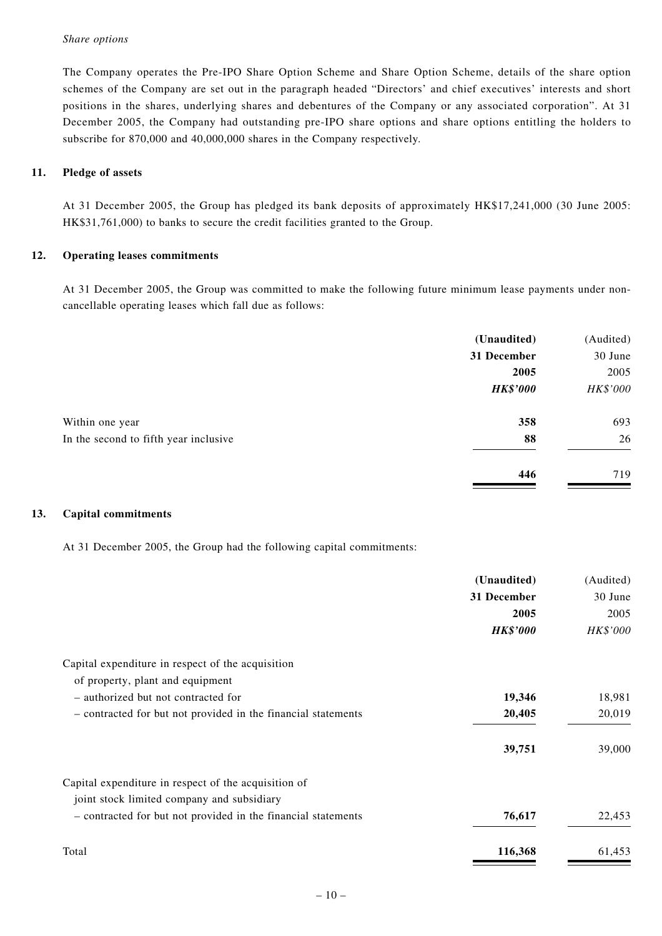#### *Share options*

The Company operates the Pre-IPO Share Option Scheme and Share Option Scheme, details of the share option schemes of the Company are set out in the paragraph headed "Directors' and chief executives' interests and short positions in the shares, underlying shares and debentures of the Company or any associated corporation". At 31 December 2005, the Company had outstanding pre-IPO share options and share options entitling the holders to subscribe for 870,000 and 40,000,000 shares in the Company respectively.

#### **11. Pledge of assets**

At 31 December 2005, the Group has pledged its bank deposits of approximately HK\$17,241,000 (30 June 2005: HK\$31,761,000) to banks to secure the credit facilities granted to the Group.

#### **12. Operating leases commitments**

At 31 December 2005, the Group was committed to make the following future minimum lease payments under noncancellable operating leases which fall due as follows:

|                                       | (Unaudited)     | (Audited) |
|---------------------------------------|-----------------|-----------|
|                                       | 31 December     | 30 June   |
|                                       | 2005            | 2005      |
|                                       | <b>HK\$'000</b> | HK\$'000  |
| Within one year                       | 358             | 693       |
| In the second to fifth year inclusive | 88              | 26        |
|                                       | 446             | 719       |

#### **13. Capital commitments**

At 31 December 2005, the Group had the following capital commitments:

|                                                               | (Unaudited)     | (Audited) |
|---------------------------------------------------------------|-----------------|-----------|
|                                                               | 31 December     | 30 June   |
|                                                               | 2005            | 2005      |
|                                                               | <b>HK\$'000</b> | HK\$'000  |
| Capital expenditure in respect of the acquisition             |                 |           |
| of property, plant and equipment                              |                 |           |
| - authorized but not contracted for                           | 19,346          | 18,981    |
| - contracted for but not provided in the financial statements | 20,405          | 20,019    |
|                                                               | 39,751          | 39,000    |
| Capital expenditure in respect of the acquisition of          |                 |           |
| joint stock limited company and subsidiary                    |                 |           |
| - contracted for but not provided in the financial statements | 76,617          | 22,453    |
| Total                                                         | 116,368         | 61,453    |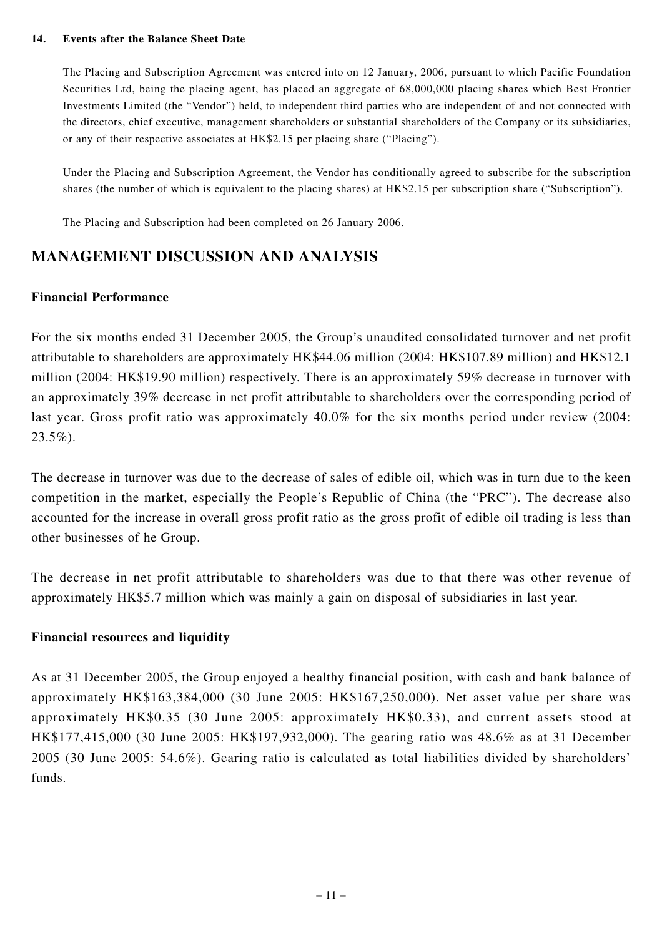#### **14. Events after the Balance Sheet Date**

The Placing and Subscription Agreement was entered into on 12 January, 2006, pursuant to which Pacific Foundation Securities Ltd, being the placing agent, has placed an aggregate of 68,000,000 placing shares which Best Frontier Investments Limited (the "Vendor") held, to independent third parties who are independent of and not connected with the directors, chief executive, management shareholders or substantial shareholders of the Company or its subsidiaries, or any of their respective associates at HK\$2.15 per placing share ("Placing").

Under the Placing and Subscription Agreement, the Vendor has conditionally agreed to subscribe for the subscription shares (the number of which is equivalent to the placing shares) at HK\$2.15 per subscription share ("Subscription").

The Placing and Subscription had been completed on 26 January 2006.

## **MANAGEMENT DISCUSSION AND ANALYSIS**

## **Financial Performance**

For the six months ended 31 December 2005, the Group's unaudited consolidated turnover and net profit attributable to shareholders are approximately HK\$44.06 million (2004: HK\$107.89 million) and HK\$12.1 million (2004: HK\$19.90 million) respectively. There is an approximately 59% decrease in turnover with an approximately 39% decrease in net profit attributable to shareholders over the corresponding period of last year. Gross profit ratio was approximately 40.0% for the six months period under review (2004:  $23.5\%$ ).

The decrease in turnover was due to the decrease of sales of edible oil, which was in turn due to the keen competition in the market, especially the People's Republic of China (the "PRC"). The decrease also accounted for the increase in overall gross profit ratio as the gross profit of edible oil trading is less than other businesses of he Group.

The decrease in net profit attributable to shareholders was due to that there was other revenue of approximately HK\$5.7 million which was mainly a gain on disposal of subsidiaries in last year.

## **Financial resources and liquidity**

As at 31 December 2005, the Group enjoyed a healthy financial position, with cash and bank balance of approximately HK\$163,384,000 (30 June 2005: HK\$167,250,000). Net asset value per share was approximately HK\$0.35 (30 June 2005: approximately HK\$0.33), and current assets stood at HK\$177,415,000 (30 June 2005: HK\$197,932,000). The gearing ratio was 48.6% as at 31 December 2005 (30 June 2005: 54.6%). Gearing ratio is calculated as total liabilities divided by shareholders' funds.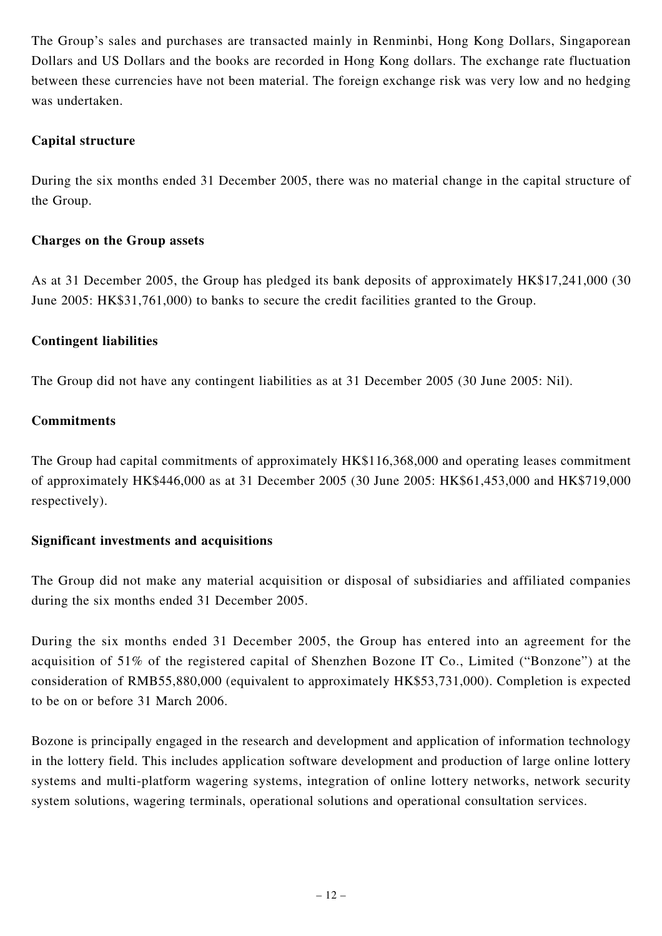The Group's sales and purchases are transacted mainly in Renminbi, Hong Kong Dollars, Singaporean Dollars and US Dollars and the books are recorded in Hong Kong dollars. The exchange rate fluctuation between these currencies have not been material. The foreign exchange risk was very low and no hedging was undertaken.

## **Capital structure**

During the six months ended 31 December 2005, there was no material change in the capital structure of the Group.

## **Charges on the Group assets**

As at 31 December 2005, the Group has pledged its bank deposits of approximately HK\$17,241,000 (30 June 2005: HK\$31,761,000) to banks to secure the credit facilities granted to the Group.

## **Contingent liabilities**

The Group did not have any contingent liabilities as at 31 December 2005 (30 June 2005: Nil).

## **Commitments**

The Group had capital commitments of approximately HK\$116,368,000 and operating leases commitment of approximately HK\$446,000 as at 31 December 2005 (30 June 2005: HK\$61,453,000 and HK\$719,000 respectively).

## **Significant investments and acquisitions**

The Group did not make any material acquisition or disposal of subsidiaries and affiliated companies during the six months ended 31 December 2005.

During the six months ended 31 December 2005, the Group has entered into an agreement for the acquisition of 51% of the registered capital of Shenzhen Bozone IT Co., Limited ("Bonzone") at the consideration of RMB55,880,000 (equivalent to approximately HK\$53,731,000). Completion is expected to be on or before 31 March 2006.

Bozone is principally engaged in the research and development and application of information technology in the lottery field. This includes application software development and production of large online lottery systems and multi-platform wagering systems, integration of online lottery networks, network security system solutions, wagering terminals, operational solutions and operational consultation services.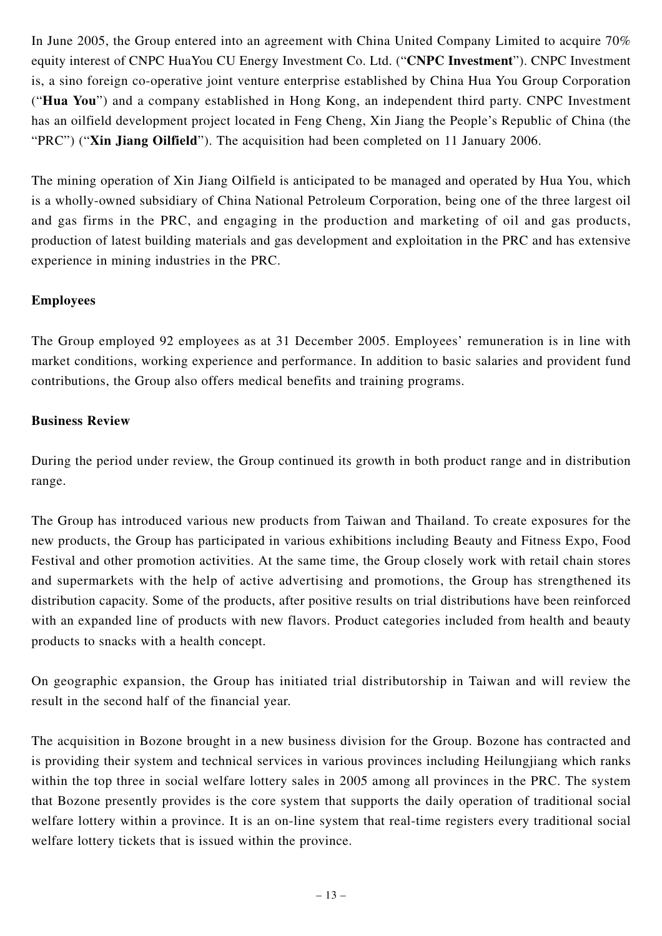In June 2005, the Group entered into an agreement with China United Company Limited to acquire 70% equity interest of CNPC HuaYou CU Energy Investment Co. Ltd. ("**CNPC Investment**"). CNPC Investment is, a sino foreign co-operative joint venture enterprise established by China Hua You Group Corporation ("**Hua You**") and a company established in Hong Kong, an independent third party. CNPC Investment has an oilfield development project located in Feng Cheng, Xin Jiang the People's Republic of China (the "PRC") ("**Xin Jiang Oilfield**"). The acquisition had been completed on 11 January 2006.

The mining operation of Xin Jiang Oilfield is anticipated to be managed and operated by Hua You, which is a wholly-owned subsidiary of China National Petroleum Corporation, being one of the three largest oil and gas firms in the PRC, and engaging in the production and marketing of oil and gas products, production of latest building materials and gas development and exploitation in the PRC and has extensive experience in mining industries in the PRC.

## **Employees**

The Group employed 92 employees as at 31 December 2005. Employees' remuneration is in line with market conditions, working experience and performance. In addition to basic salaries and provident fund contributions, the Group also offers medical benefits and training programs.

## **Business Review**

During the period under review, the Group continued its growth in both product range and in distribution range.

The Group has introduced various new products from Taiwan and Thailand. To create exposures for the new products, the Group has participated in various exhibitions including Beauty and Fitness Expo, Food Festival and other promotion activities. At the same time, the Group closely work with retail chain stores and supermarkets with the help of active advertising and promotions, the Group has strengthened its distribution capacity. Some of the products, after positive results on trial distributions have been reinforced with an expanded line of products with new flavors. Product categories included from health and beauty products to snacks with a health concept.

On geographic expansion, the Group has initiated trial distributorship in Taiwan and will review the result in the second half of the financial year.

The acquisition in Bozone brought in a new business division for the Group. Bozone has contracted and is providing their system and technical services in various provinces including Heilungjiang which ranks within the top three in social welfare lottery sales in 2005 among all provinces in the PRC. The system that Bozone presently provides is the core system that supports the daily operation of traditional social welfare lottery within a province. It is an on-line system that real-time registers every traditional social welfare lottery tickets that is issued within the province.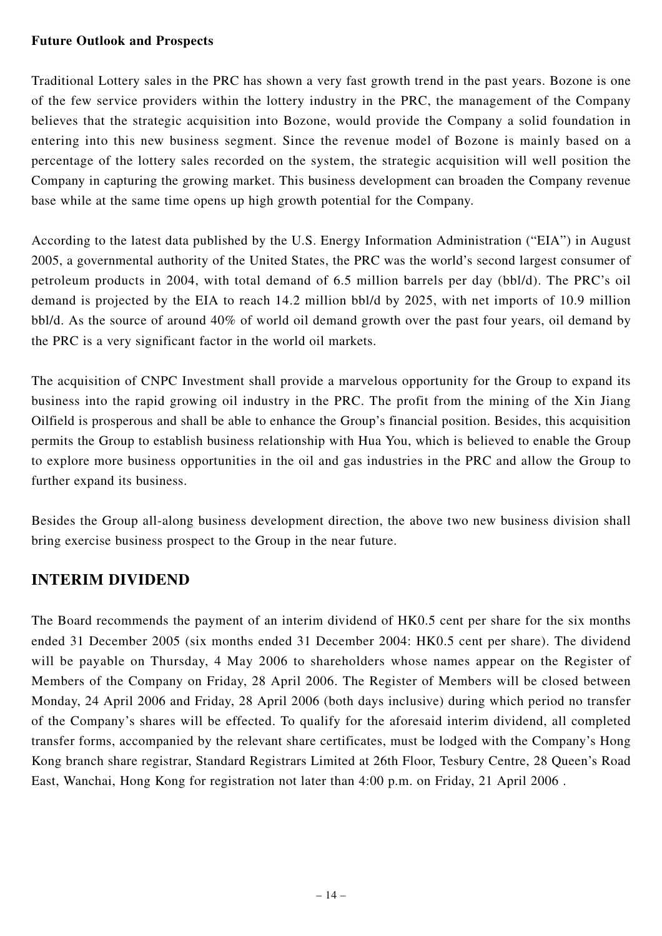## **Future Outlook and Prospects**

Traditional Lottery sales in the PRC has shown a very fast growth trend in the past years. Bozone is one of the few service providers within the lottery industry in the PRC, the management of the Company believes that the strategic acquisition into Bozone, would provide the Company a solid foundation in entering into this new business segment. Since the revenue model of Bozone is mainly based on a percentage of the lottery sales recorded on the system, the strategic acquisition will well position the Company in capturing the growing market. This business development can broaden the Company revenue base while at the same time opens up high growth potential for the Company.

According to the latest data published by the U.S. Energy Information Administration ("EIA") in August 2005, a governmental authority of the United States, the PRC was the world's second largest consumer of petroleum products in 2004, with total demand of 6.5 million barrels per day (bbl/d). The PRC's oil demand is projected by the EIA to reach 14.2 million bbl/d by 2025, with net imports of 10.9 million bbl/d. As the source of around 40% of world oil demand growth over the past four years, oil demand by the PRC is a very significant factor in the world oil markets.

The acquisition of CNPC Investment shall provide a marvelous opportunity for the Group to expand its business into the rapid growing oil industry in the PRC. The profit from the mining of the Xin Jiang Oilfield is prosperous and shall be able to enhance the Group's financial position. Besides, this acquisition permits the Group to establish business relationship with Hua You, which is believed to enable the Group to explore more business opportunities in the oil and gas industries in the PRC and allow the Group to further expand its business.

Besides the Group all-along business development direction, the above two new business division shall bring exercise business prospect to the Group in the near future.

# **INTERIM DIVIDEND**

The Board recommends the payment of an interim dividend of HK0.5 cent per share for the six months ended 31 December 2005 (six months ended 31 December 2004: HK0.5 cent per share). The dividend will be payable on Thursday, 4 May 2006 to shareholders whose names appear on the Register of Members of the Company on Friday, 28 April 2006. The Register of Members will be closed between Monday, 24 April 2006 and Friday, 28 April 2006 (both days inclusive) during which period no transfer of the Company's shares will be effected. To qualify for the aforesaid interim dividend, all completed transfer forms, accompanied by the relevant share certificates, must be lodged with the Company's Hong Kong branch share registrar, Standard Registrars Limited at 26th Floor, Tesbury Centre, 28 Queen's Road East, Wanchai, Hong Kong for registration not later than 4:00 p.m. on Friday, 21 April 2006 .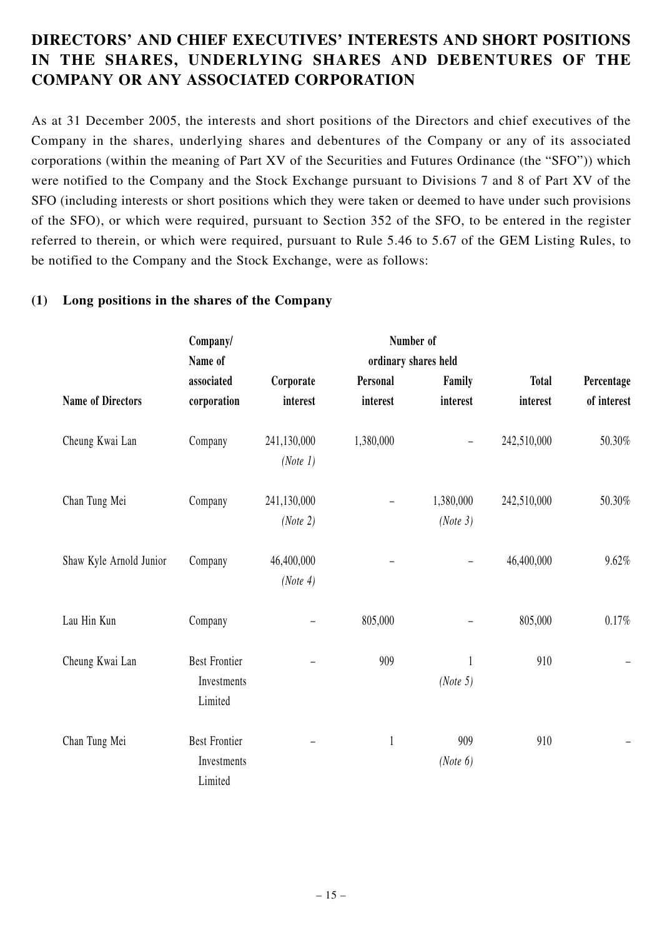# **DIRECTORS' AND CHIEF EXECUTIVES' INTERESTS AND SHORT POSITIONS IN THE SHARES, UNDERLYING SHARES AND DEBENTURES OF THE COMPANY OR ANY ASSOCIATED CORPORATION**

As at 31 December 2005, the interests and short positions of the Directors and chief executives of the Company in the shares, underlying shares and debentures of the Company or any of its associated corporations (within the meaning of Part XV of the Securities and Futures Ordinance (the "SFO")) which were notified to the Company and the Stock Exchange pursuant to Divisions 7 and 8 of Part XV of the SFO (including interests or short positions which they were taken or deemed to have under such provisions of the SFO), or which were required, pursuant to Section 352 of the SFO, to be entered in the register referred to therein, or which were required, pursuant to Rule 5.46 to 5.67 of the GEM Listing Rules, to be notified to the Company and the Stock Exchange, were as follows:

## **(1) Long positions in the shares of the Company**

|                          | Company/                                       |                         |                      | Number of             |              |             |
|--------------------------|------------------------------------------------|-------------------------|----------------------|-----------------------|--------------|-------------|
|                          | Name of                                        |                         | ordinary shares held |                       |              |             |
|                          | associated                                     | Corporate               | Personal             | Family                | <b>Total</b> | Percentage  |
| <b>Name of Directors</b> | corporation                                    | interest                | interest             | interest              | interest     | of interest |
| Cheung Kwai Lan          | Company                                        | 241,130,000<br>(Note 1) | 1,380,000            | $\qquad \qquad -$     | 242,510,000  | 50.30%      |
| Chan Tung Mei            | Company                                        | 241,130,000<br>(Note 2) |                      | 1,380,000<br>(Note 3) | 242,510,000  | 50.30%      |
| Shaw Kyle Arnold Junior  | Company                                        | 46,400,000<br>(Note 4)  |                      |                       | 46,400,000   | 9.62%       |
| Lau Hin Kun              | Company                                        |                         | 805,000              |                       | 805,000      | 0.17%       |
| Cheung Kwai Lan          | <b>Best Frontier</b><br>Investments<br>Limited |                         | 909                  | 1<br>(Note 5)         | 910          |             |
| Chan Tung Mei            | <b>Best Frontier</b><br>Investments<br>Limited |                         | $\mathbf{1}$         | 909<br>(Note 6)       | 910          |             |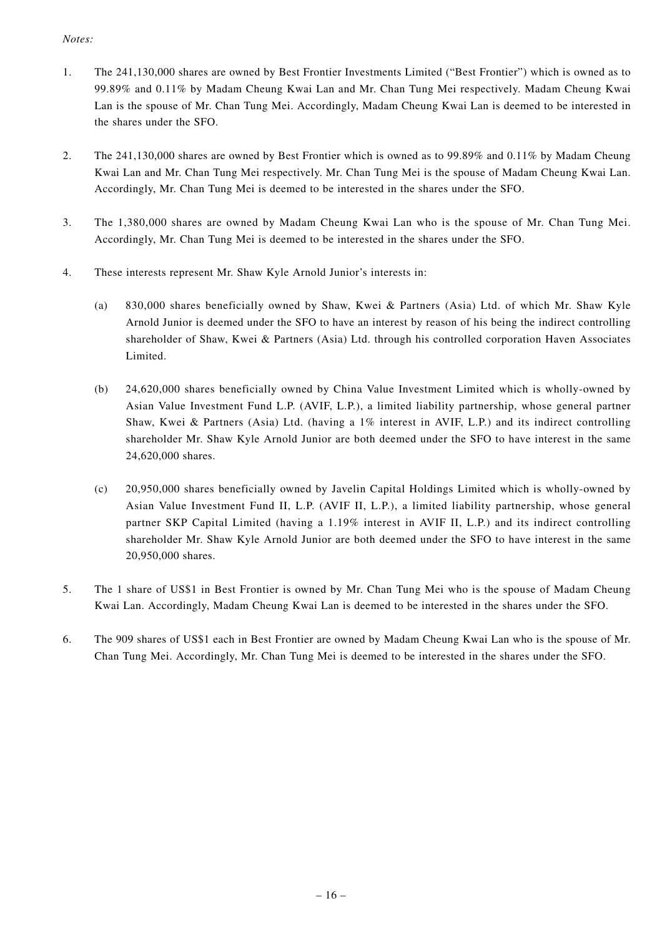### *Notes:*

- 1. The 241,130,000 shares are owned by Best Frontier Investments Limited ("Best Frontier") which is owned as to 99.89% and 0.11% by Madam Cheung Kwai Lan and Mr. Chan Tung Mei respectively. Madam Cheung Kwai Lan is the spouse of Mr. Chan Tung Mei. Accordingly, Madam Cheung Kwai Lan is deemed to be interested in the shares under the SFO.
- 2. The 241,130,000 shares are owned by Best Frontier which is owned as to 99.89% and 0.11% by Madam Cheung Kwai Lan and Mr. Chan Tung Mei respectively. Mr. Chan Tung Mei is the spouse of Madam Cheung Kwai Lan. Accordingly, Mr. Chan Tung Mei is deemed to be interested in the shares under the SFO.
- 3. The 1,380,000 shares are owned by Madam Cheung Kwai Lan who is the spouse of Mr. Chan Tung Mei. Accordingly, Mr. Chan Tung Mei is deemed to be interested in the shares under the SFO.
- 4. These interests represent Mr. Shaw Kyle Arnold Junior's interests in:
	- (a) 830,000 shares beneficially owned by Shaw, Kwei & Partners (Asia) Ltd. of which Mr. Shaw Kyle Arnold Junior is deemed under the SFO to have an interest by reason of his being the indirect controlling shareholder of Shaw, Kwei & Partners (Asia) Ltd. through his controlled corporation Haven Associates Limited.
	- (b) 24,620,000 shares beneficially owned by China Value Investment Limited which is wholly-owned by Asian Value Investment Fund L.P. (AVIF, L.P.), a limited liability partnership, whose general partner Shaw, Kwei & Partners (Asia) Ltd. (having a 1% interest in AVIF, L.P.) and its indirect controlling shareholder Mr. Shaw Kyle Arnold Junior are both deemed under the SFO to have interest in the same 24,620,000 shares.
	- (c) 20,950,000 shares beneficially owned by Javelin Capital Holdings Limited which is wholly-owned by Asian Value Investment Fund II, L.P. (AVIF II, L.P.), a limited liability partnership, whose general partner SKP Capital Limited (having a 1.19% interest in AVIF II, L.P.) and its indirect controlling shareholder Mr. Shaw Kyle Arnold Junior are both deemed under the SFO to have interest in the same 20,950,000 shares.
- 5. The 1 share of US\$1 in Best Frontier is owned by Mr. Chan Tung Mei who is the spouse of Madam Cheung Kwai Lan. Accordingly, Madam Cheung Kwai Lan is deemed to be interested in the shares under the SFO.
- 6. The 909 shares of US\$1 each in Best Frontier are owned by Madam Cheung Kwai Lan who is the spouse of Mr. Chan Tung Mei. Accordingly, Mr. Chan Tung Mei is deemed to be interested in the shares under the SFO.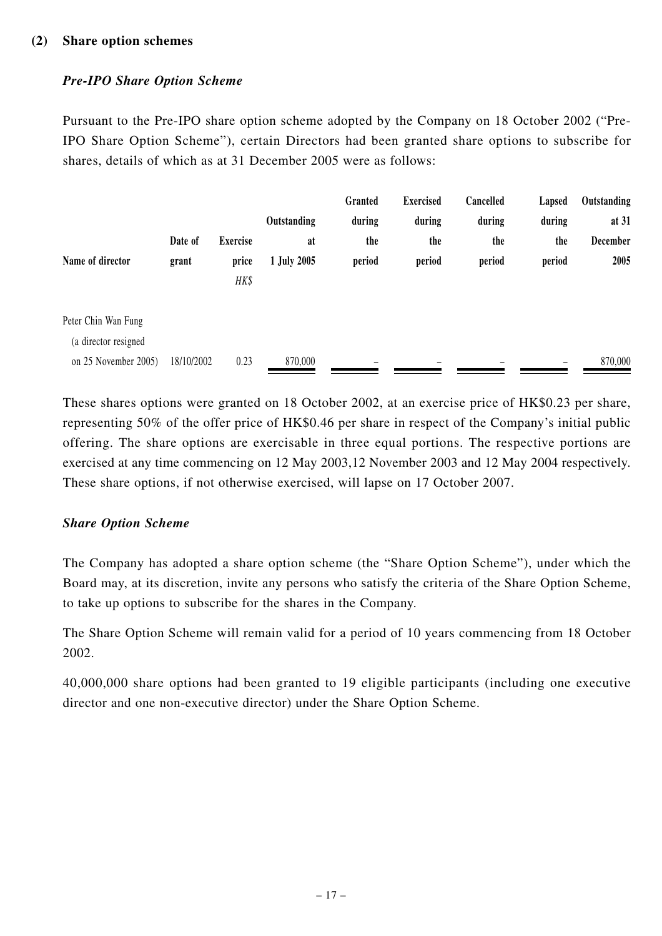## *Pre-IPO Share Option Scheme*

Pursuant to the Pre-IPO share option scheme adopted by the Company on 18 October 2002 ("Pre-IPO Share Option Scheme"), certain Directors had been granted share options to subscribe for shares, details of which as at 31 December 2005 were as follows:

|                                              |            |                 |             | Granted                    | <b>Exercised</b> | Cancelled | Lapsed | Outstanding     |
|----------------------------------------------|------------|-----------------|-------------|----------------------------|------------------|-----------|--------|-----------------|
|                                              |            |                 | Outstanding | during                     | during           | during    | during | at 31           |
|                                              | Date of    | <b>Exercise</b> | at          | the                        | the              | the       | the    | <b>December</b> |
| Name of director                             | grant      | price<br>HK\$   | 1 July 2005 | period<br>period<br>period |                  | period    | 2005   |                 |
| Peter Chin Wan Fung                          |            |                 |             |                            |                  |           |        |                 |
| (a director resigned<br>on 25 November 2005) | 18/10/2002 | 0.23            | 870,000     |                            |                  |           |        | 870,000         |

These shares options were granted on 18 October 2002, at an exercise price of HK\$0.23 per share, representing 50% of the offer price of HK\$0.46 per share in respect of the Company's initial public offering. The share options are exercisable in three equal portions. The respective portions are exercised at any time commencing on 12 May 2003,12 November 2003 and 12 May 2004 respectively. These share options, if not otherwise exercised, will lapse on 17 October 2007.

## *Share Option Scheme*

The Company has adopted a share option scheme (the "Share Option Scheme"), under which the Board may, at its discretion, invite any persons who satisfy the criteria of the Share Option Scheme, to take up options to subscribe for the shares in the Company.

The Share Option Scheme will remain valid for a period of 10 years commencing from 18 October 2002.

40,000,000 share options had been granted to 19 eligible participants (including one executive director and one non-executive director) under the Share Option Scheme.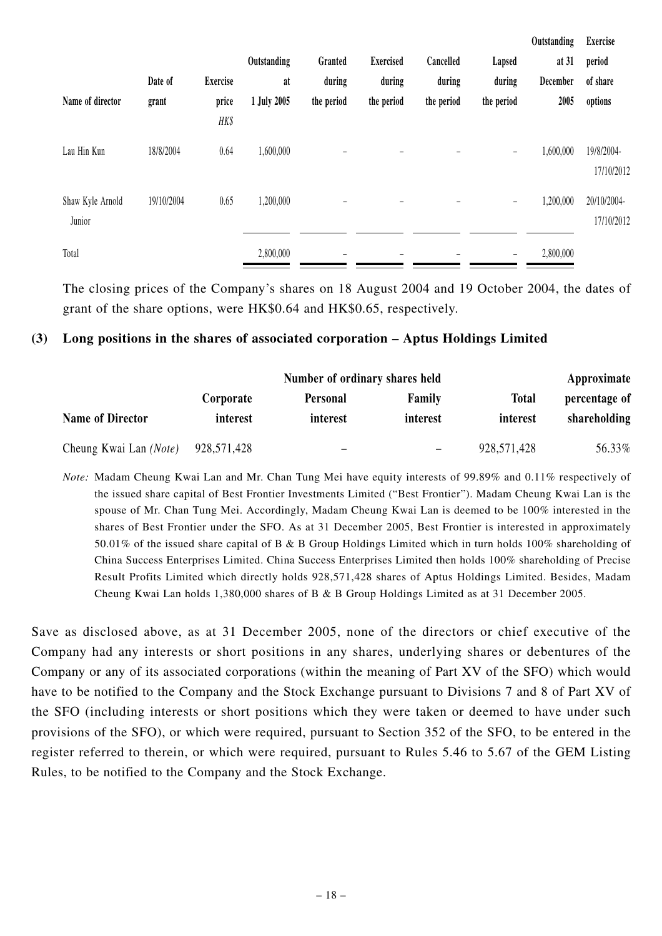| Name of director           | Date of<br>grant | <b>Exercise</b><br>price<br>HK\$ | Outstanding<br>at<br>1 July 2005 | Granted<br>during<br>the period | <b>Exercised</b><br>during<br>the period | Cancelled<br>during<br>the period | Lapsed<br>during<br>the period | Outstanding<br>at 31<br>December<br>2005 | Exercise<br>period<br>of share<br>options |
|----------------------------|------------------|----------------------------------|----------------------------------|---------------------------------|------------------------------------------|-----------------------------------|--------------------------------|------------------------------------------|-------------------------------------------|
| Lau Hin Kun                | 18/8/2004        | 0.64                             | 1,600,000                        |                                 |                                          |                                   | $\qquad \qquad -$              | 1,600,000                                | 19/8/2004-<br>17/10/2012                  |
| Shaw Kyle Arnold<br>Junior | 19/10/2004       | 0.65                             | 1,200,000                        |                                 |                                          |                                   | $\qquad \qquad -$              | 1,200,000                                | 20/10/2004-<br>17/10/2012                 |
| Total                      |                  |                                  | 2,800,000                        |                                 |                                          |                                   | -                              | 2,800,000                                |                                           |

The closing prices of the Company's shares on 18 August 2004 and 19 October 2004, the dates of grant of the share options, were HK\$0.64 and HK\$0.65, respectively.

## **(3) Long positions in the shares of associated corporation – Aptus Holdings Limited**

|                         |                       | Number of ordinary shares held |                    | Approximate              |                               |  |
|-------------------------|-----------------------|--------------------------------|--------------------|--------------------------|-------------------------------|--|
| <b>Name of Director</b> | Corporate<br>interest | <b>Personal</b><br>interest    | Family<br>interest | <b>Total</b><br>interest | percentage of<br>shareholding |  |
| Cheung Kwai Lan (Note)  | 928,571,428           | -                              | $\equiv$           | 928,571,428              | 56.33%                        |  |

*Note:* Madam Cheung Kwai Lan and Mr. Chan Tung Mei have equity interests of 99.89% and 0.11% respectively of the issued share capital of Best Frontier Investments Limited ("Best Frontier"). Madam Cheung Kwai Lan is the spouse of Mr. Chan Tung Mei. Accordingly, Madam Cheung Kwai Lan is deemed to be 100% interested in the shares of Best Frontier under the SFO. As at 31 December 2005, Best Frontier is interested in approximately 50.01% of the issued share capital of B & B Group Holdings Limited which in turn holds 100% shareholding of China Success Enterprises Limited. China Success Enterprises Limited then holds 100% shareholding of Precise Result Profits Limited which directly holds 928,571,428 shares of Aptus Holdings Limited. Besides, Madam Cheung Kwai Lan holds 1,380,000 shares of B & B Group Holdings Limited as at 31 December 2005.

Save as disclosed above, as at 31 December 2005, none of the directors or chief executive of the Company had any interests or short positions in any shares, underlying shares or debentures of the Company or any of its associated corporations (within the meaning of Part XV of the SFO) which would have to be notified to the Company and the Stock Exchange pursuant to Divisions 7 and 8 of Part XV of the SFO (including interests or short positions which they were taken or deemed to have under such provisions of the SFO), or which were required, pursuant to Section 352 of the SFO, to be entered in the register referred to therein, or which were required, pursuant to Rules 5.46 to 5.67 of the GEM Listing Rules, to be notified to the Company and the Stock Exchange.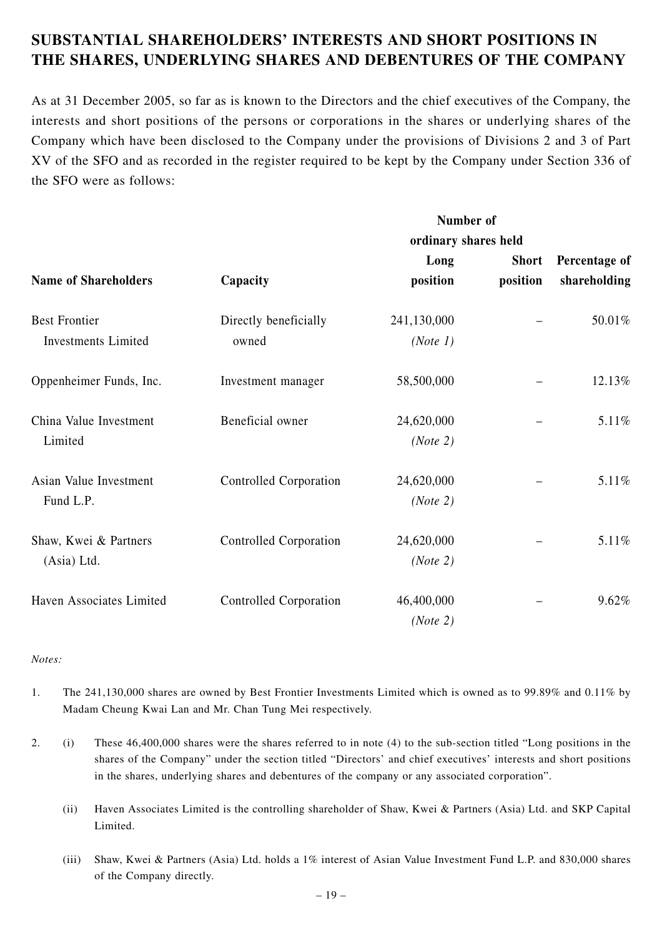# **SUBSTANTIAL SHAREHOLDERS' INTERESTS AND SHORT POSITIONS IN THE SHARES, UNDERLYING SHARES AND DEBENTURES OF THE COMPANY**

As at 31 December 2005, so far as is known to the Directors and the chief executives of the Company, the interests and short positions of the persons or corporations in the shares or underlying shares of the Company which have been disclosed to the Company under the provisions of Divisions 2 and 3 of Part XV of the SFO and as recorded in the register required to be kept by the Company under Section 336 of the SFO were as follows:

|                             | Number of                     |                      |              |               |  |  |  |
|-----------------------------|-------------------------------|----------------------|--------------|---------------|--|--|--|
|                             |                               | ordinary shares held |              |               |  |  |  |
|                             |                               | Long                 | <b>Short</b> | Percentage of |  |  |  |
| <b>Name of Shareholders</b> | Capacity                      | position             | position     | shareholding  |  |  |  |
| <b>Best Frontier</b>        | Directly beneficially         | 241,130,000          |              | 50.01%        |  |  |  |
| <b>Investments Limited</b>  | owned                         | (Note 1)             |              |               |  |  |  |
| Oppenheimer Funds, Inc.     | Investment manager            | 58,500,000           |              | 12.13%        |  |  |  |
| China Value Investment      | Beneficial owner              | 24,620,000           |              | 5.11%         |  |  |  |
| Limited                     |                               | (Note 2)             |              |               |  |  |  |
| Asian Value Investment      | <b>Controlled Corporation</b> | 24,620,000           |              | 5.11%         |  |  |  |
| Fund L.P.                   |                               | (Note 2)             |              |               |  |  |  |
| Shaw, Kwei & Partners       | <b>Controlled Corporation</b> | 24,620,000           |              | 5.11%         |  |  |  |
| (Asia) Ltd.                 |                               | (Note 2)             |              |               |  |  |  |
| Haven Associates Limited    | <b>Controlled Corporation</b> | 46,400,000           |              | 9.62%         |  |  |  |
|                             |                               | (Note 2)             |              |               |  |  |  |

#### *Notes:*

- 1. The 241,130,000 shares are owned by Best Frontier Investments Limited which is owned as to 99.89% and 0.11% by Madam Cheung Kwai Lan and Mr. Chan Tung Mei respectively.
- 2. (i) These 46,400,000 shares were the shares referred to in note (4) to the sub-section titled "Long positions in the shares of the Company" under the section titled "Directors' and chief executives' interests and short positions in the shares, underlying shares and debentures of the company or any associated corporation".
	- (ii) Haven Associates Limited is the controlling shareholder of Shaw, Kwei & Partners (Asia) Ltd. and SKP Capital Limited.
	- (iii) Shaw, Kwei & Partners (Asia) Ltd. holds a 1% interest of Asian Value Investment Fund L.P. and 830,000 shares of the Company directly.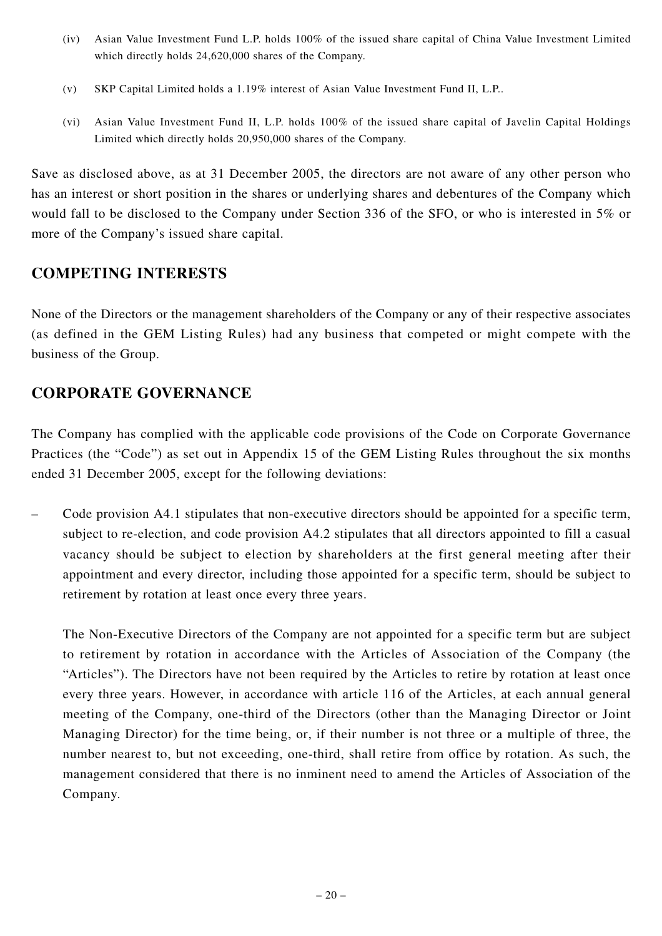- (iv) Asian Value Investment Fund L.P. holds 100% of the issued share capital of China Value Investment Limited which directly holds 24,620,000 shares of the Company.
- (v) SKP Capital Limited holds a 1.19% interest of Asian Value Investment Fund II, L.P..
- (vi) Asian Value Investment Fund II, L.P. holds 100% of the issued share capital of Javelin Capital Holdings Limited which directly holds 20,950,000 shares of the Company.

Save as disclosed above, as at 31 December 2005, the directors are not aware of any other person who has an interest or short position in the shares or underlying shares and debentures of the Company which would fall to be disclosed to the Company under Section 336 of the SFO, or who is interested in 5% or more of the Company's issued share capital.

# **COMPETING INTERESTS**

None of the Directors or the management shareholders of the Company or any of their respective associates (as defined in the GEM Listing Rules) had any business that competed or might compete with the business of the Group.

# **CORPORATE GOVERNANCE**

The Company has complied with the applicable code provisions of the Code on Corporate Governance Practices (the "Code") as set out in Appendix 15 of the GEM Listing Rules throughout the six months ended 31 December 2005, except for the following deviations:

– Code provision A4.1 stipulates that non-executive directors should be appointed for a specific term, subject to re-election, and code provision A4.2 stipulates that all directors appointed to fill a casual vacancy should be subject to election by shareholders at the first general meeting after their appointment and every director, including those appointed for a specific term, should be subject to retirement by rotation at least once every three years.

The Non-Executive Directors of the Company are not appointed for a specific term but are subject to retirement by rotation in accordance with the Articles of Association of the Company (the "Articles"). The Directors have not been required by the Articles to retire by rotation at least once every three years. However, in accordance with article 116 of the Articles, at each annual general meeting of the Company, one-third of the Directors (other than the Managing Director or Joint Managing Director) for the time being, or, if their number is not three or a multiple of three, the number nearest to, but not exceeding, one-third, shall retire from office by rotation. As such, the management considered that there is no inminent need to amend the Articles of Association of the Company.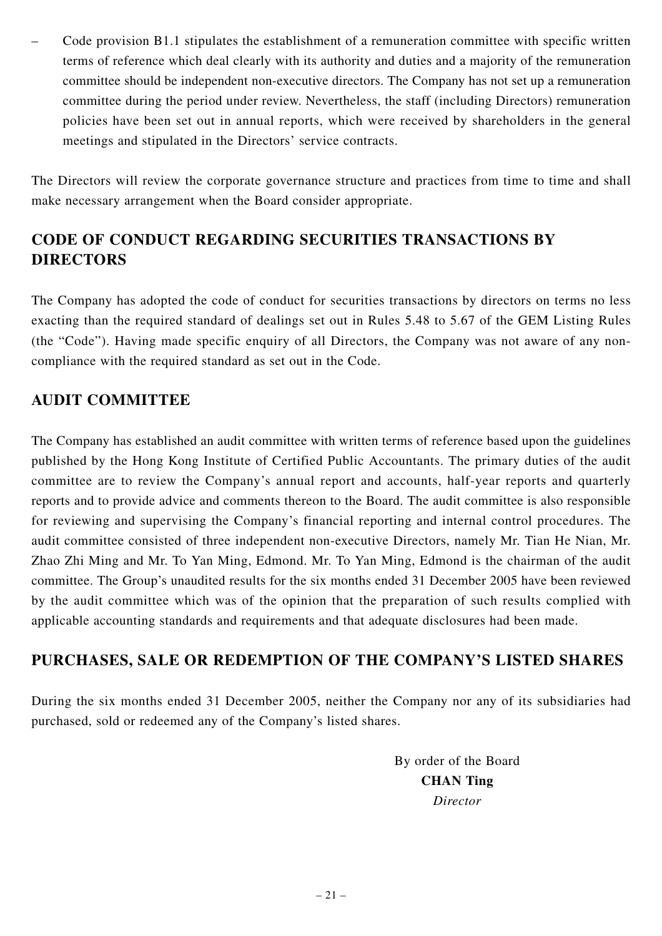– Code provision B1.1 stipulates the establishment of a remuneration committee with specific written terms of reference which deal clearly with its authority and duties and a majority of the remuneration committee should be independent non-executive directors. The Company has not set up a remuneration committee during the period under review. Nevertheless, the staff (including Directors) remuneration policies have been set out in annual reports, which were received by shareholders in the general meetings and stipulated in the Directors' service contracts.

The Directors will review the corporate governance structure and practices from time to time and shall make necessary arrangement when the Board consider appropriate.

# **CODE OF CONDUCT REGARDING SECURITIES TRANSACTIONS BY DIRECTORS**

The Company has adopted the code of conduct for securities transactions by directors on terms no less exacting than the required standard of dealings set out in Rules 5.48 to 5.67 of the GEM Listing Rules (the "Code"). Having made specific enquiry of all Directors, the Company was not aware of any noncompliance with the required standard as set out in the Code.

# **AUDIT COMMITTEE**

The Company has established an audit committee with written terms of reference based upon the guidelines published by the Hong Kong Institute of Certified Public Accountants. The primary duties of the audit committee are to review the Company's annual report and accounts, half-year reports and quarterly reports and to provide advice and comments thereon to the Board. The audit committee is also responsible for reviewing and supervising the Company's financial reporting and internal control procedures. The audit committee consisted of three independent non-executive Directors, namely Mr. Tian He Nian, Mr. Zhao Zhi Ming and Mr. To Yan Ming, Edmond. Mr. To Yan Ming, Edmond is the chairman of the audit committee. The Group's unaudited results for the six months ended 31 December 2005 have been reviewed by the audit committee which was of the opinion that the preparation of such results complied with applicable accounting standards and requirements and that adequate disclosures had been made.

# **PURCHASES, SALE OR REDEMPTION OF THE COMPANY'S LISTED SHARES**

During the six months ended 31 December 2005, neither the Company nor any of its subsidiaries had purchased, sold or redeemed any of the Company's listed shares.

> By order of the Board **CHAN Ting** *Director*